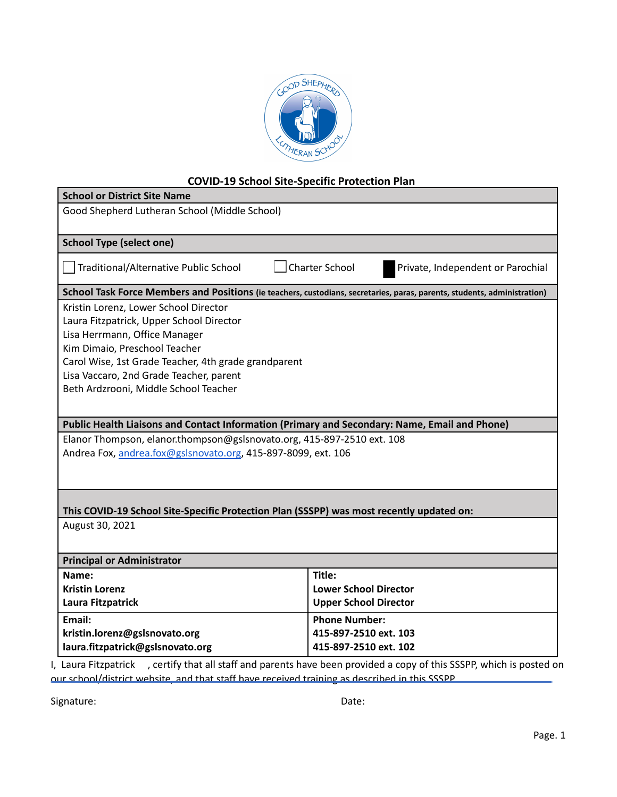

### **COVID-19 School Site-Specific Protection Plan**

| <b>School or District Site Name</b>                                                                                      |                                                               |  |
|--------------------------------------------------------------------------------------------------------------------------|---------------------------------------------------------------|--|
| Good Shepherd Lutheran School (Middle School)                                                                            |                                                               |  |
|                                                                                                                          |                                                               |  |
| <b>School Type (select one)</b>                                                                                          |                                                               |  |
| Traditional/Alternative Public School                                                                                    | <b>Charter School</b><br>Private, Independent or Parochial    |  |
| School Task Force Members and Positions (ie teachers, custodians, secretaries, paras, parents, students, administration) |                                                               |  |
| Kristin Lorenz, Lower School Director                                                                                    |                                                               |  |
| Laura Fitzpatrick, Upper School Director                                                                                 |                                                               |  |
| Lisa Herrmann, Office Manager                                                                                            |                                                               |  |
| Kim Dimaio, Preschool Teacher                                                                                            |                                                               |  |
| Carol Wise, 1st Grade Teacher, 4th grade grandparent                                                                     |                                                               |  |
| Lisa Vaccaro, 2nd Grade Teacher, parent                                                                                  |                                                               |  |
| Beth Ardzrooni, Middle School Teacher                                                                                    |                                                               |  |
|                                                                                                                          |                                                               |  |
| Public Health Liaisons and Contact Information (Primary and Secondary: Name, Email and Phone)                            |                                                               |  |
| Elanor Thompson, elanor.thompson@gslsnovato.org, 415-897-2510 ext. 108                                                   |                                                               |  |
| Andrea Fox, andrea.fox@gslsnovato.org, 415-897-8099, ext. 106                                                            |                                                               |  |
|                                                                                                                          |                                                               |  |
|                                                                                                                          |                                                               |  |
|                                                                                                                          |                                                               |  |
| This COVID-19 School Site-Specific Protection Plan (SSSPP) was most recently updated on:                                 |                                                               |  |
| August 30, 2021                                                                                                          |                                                               |  |
|                                                                                                                          |                                                               |  |
| <b>Principal or Administrator</b>                                                                                        |                                                               |  |
| Name:                                                                                                                    | Title:                                                        |  |
| <b>Kristin Lorenz</b>                                                                                                    | <b>Lower School Director</b>                                  |  |
| Laura Fitzpatrick                                                                                                        | <b>Upper School Director</b>                                  |  |
| Email:                                                                                                                   | <b>Phone Number:</b>                                          |  |
| kristin.lorenz@gslsnovato.org                                                                                            | 415-897-2510 ext. 103                                         |  |
| laura.fitzpatrick@gslsnovato.org                                                                                         | 415-897-2510 ext. 102                                         |  |
| والمستحركة وعقورا المرتفع والقريانية فسيحوز والمسترد ويستعجب والمتناوب                                                   | and leader productional and accountable CCCDD indicate to re- |  |

I, Laura Fitzpatrick , certify that all staff and parents have been provided a copy of this SSSPP, which is posted on our school/district website, and that staff have received training as described in this SSSPP.

Signature: Date: Date: Date: Date: Date: Date: Date: Date: Date: Date: Date: Date: Date: Date: Date: Date: Date: Date:  $\sim$  Date:  $\sim$  0.075  $\mu$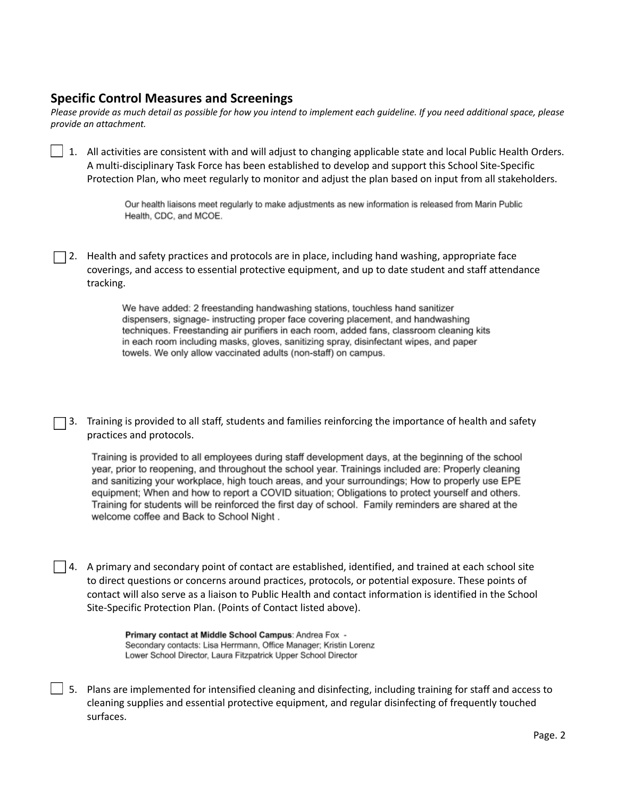## **Specific Control Measures and Screenings**

Please provide as much detail as possible for how you intend to implement each quideline. If you need additional space, please *provide an attachment.*

1. All activities are consistent with and will adjust to changing applicable state and local Public Health Orders. A multi-disciplinary Task Force has been established to develop and support this School Site-Specific Protection Plan, who meet regularly to monitor and adjust the plan based on input from all stakeholders.

> Our health liaisons meet regularly to make adjustments as new information is released from Marin Public Health, CDC, and MCOE.

 $\Box$  2. Health and safety practices and protocols are in place, including hand washing, appropriate face coverings, and access to essential protective equipment, and up to date student and staff attendance tracking.

> We have added: 2 freestanding handwashing stations, touchless hand sanitizer dispensers, signage- instructing proper face covering placement, and handwashing techniques. Freestanding air purifiers in each room, added fans, classroom cleaning kits in each room including masks, gloves, sanitizing spray, disinfectant wipes, and paper towels. We only allow vaccinated adults (non-staff) on campus.

3. Training is provided to all staff, students and families reinforcing the importance of health and safety practices and protocols.

Training is provided to all employees during staff development days, at the beginning of the school year, prior to reopening, and throughout the school year. Trainings included are: Properly cleaning and sanitizing your workplace, high touch areas, and your surroundings; How to properly use EPE equipment; When and how to report a COVID situation; Obligations to protect yourself and others. Training for students will be reinforced the first day of school. Family reminders are shared at the welcome coffee and Back to School Night.

 $\Box$  4. A primary and secondary point of contact are established, identified, and trained at each school site to direct questions or concerns around practices, protocols, or potential exposure. These points of contact will also serve as a liaison to Public Health and contact information is identified in the School Site-Specific Protection Plan. (Points of Contact listed above).

> Primary contact at Middle School Campus: Andrea Fox -Secondary contacts: Lisa Herrmann, Office Manager; Kristin Lorenz Lower School Director, Laura Fitzpatrick Upper School Director

 $\Box$  5. Plans are implemented for intensified cleaning and disinfecting, including training for staff and access to cleaning supplies and essential protective equipment, and regular disinfecting of frequently touched surfaces.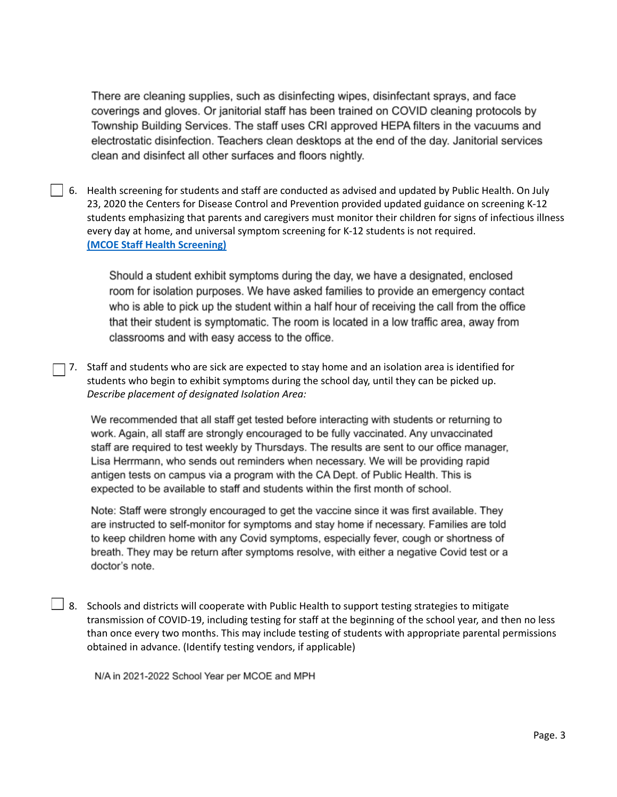There are cleaning supplies, such as disinfecting wipes, disinfectant sprays, and face coverings and gloves. Or janitorial staff has been trained on COVID cleaning protocols by Township Building Services. The staff uses CRI approved HEPA filters in the vacuums and electrostatic disinfection. Teachers clean desktops at the end of the day. Janitorial services clean and disinfect all other surfaces and floors nightly.

 $\vert\,\,\vert$  6. Health screening for students and staff are conducted as advised and updated by Public Health. On July 23, 2020 the Centers for Disease Control and Prevention provided updated guidance on screening K-12 students emphasizing that parents and caregivers must monitor their children for signs of infectious illness every day at home, and universal symptom screening for K-12 students is not required. **(MCOE Staff Health [Screening\)](https://docs.google.com/document/d/1TCBqtXevKSoikKID0SmGq4uzYhIT7UNDlu9pm1Hnzn0/edit?usp=sharing)**

> Should a student exhibit symptoms during the day, we have a designated, enclosed room for isolation purposes. We have asked families to provide an emergency contact who is able to pick up the student within a half hour of receiving the call from the office that their student is symptomatic. The room is located in a low traffic area, away from classrooms and with easy access to the office.

7. Staff and students who are sick are expected to stay home and an isolation area is identified for students who begin to exhibit symptoms during the school day, until they can be picked up. *Describe placement of designated Isolation Area:*

We recommended that all staff get tested before interacting with students or returning to work. Again, all staff are strongly encouraged to be fully vaccinated. Any unvaccinated staff are required to test weekly by Thursdays. The results are sent to our office manager, Lisa Herrmann, who sends out reminders when necessary. We will be providing rapid antigen tests on campus via a program with the CA Dept. of Public Health. This is expected to be available to staff and students within the first month of school.

Note: Staff were strongly encouraged to get the vaccine since it was first available. They are instructed to self-monitor for symptoms and stay home if necessary. Families are told to keep children home with any Covid symptoms, especially fever, cough or shortness of breath. They may be return after symptoms resolve, with either a negative Covid test or a doctor's note.

 $\perp$  8. Schools and districts will cooperate with Public Health to support testing strategies to mitigate transmission of COVID-19, including testing for staff at the beginning of the school year, and then no less than once every two months. This may include testing of students with appropriate parental permissions obtained in advance. (Identify testing vendors, if applicable)

N/A in 2021-2022 School Year per MCOE and MPH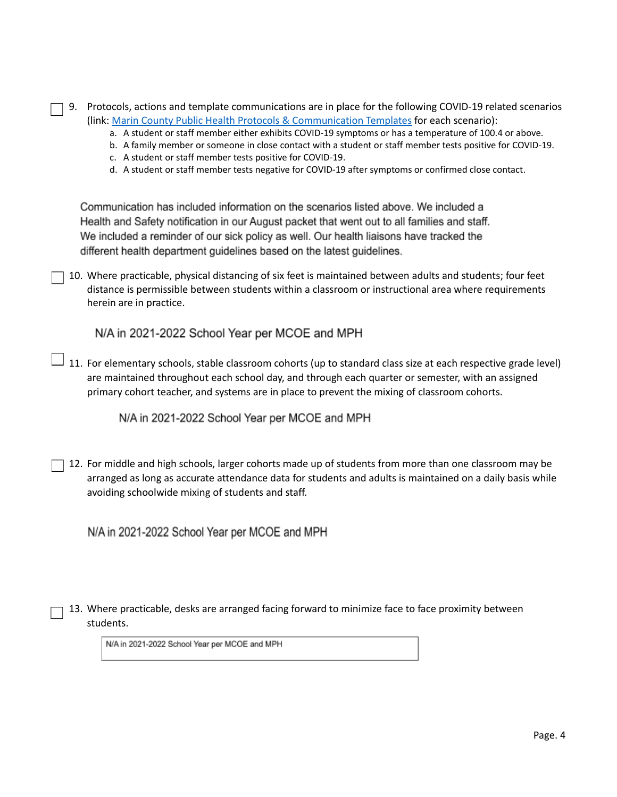| 9. Protocols, actions and template communications are in place for the following COVID-19 related scenarios |
|-------------------------------------------------------------------------------------------------------------|
| (link: Marin County Public Health Protocols & Communication Templates for each scenario):                   |

- a. A student or staff member either exhibits COVID-19 symptoms or has a temperature of 100.4 or above.
- b. A family member or someone in close contact with a student or staff member tests positive for COVID-19.
- c. A student or staff member tests positive for COVID-19.
- d. A student or staff member tests negative for COVID-19 after symptoms or confirmed close contact.

Communication has included information on the scenarios listed above. We included a Health and Safety notification in our August packet that went out to all families and staff. We included a reminder of our sick policy as well. Our health liaisons have tracked the different health department guidelines based on the latest guidelines.

10. Where practicable, physical distancing of six feet is maintained between adults and students; four feet distance is permissible between students within a classroom or instructional area where requirements herein are in practice.

N/A in 2021-2022 School Year per MCOE and MPH

 $\Box$  11. For elementary schools, stable classroom cohorts (up to standard class size at each respective grade level) are maintained throughout each school day, and through each quarter or semester, with an assigned primary cohort teacher, and systems are in place to prevent the mixing of classroom cohorts.

N/A in 2021-2022 School Year per MCOE and MPH

12. For middle and high schools, larger cohorts made up of students from more than one classroom may be arranged as long as accurate attendance data for students and adults is maintained on a daily basis while avoiding schoolwide mixing of students and staff.

N/A in 2021-2022 School Year per MCOE and MPH

13. Where practicable, desks are arranged facing forward to minimize face to face proximity between students.

N/A in 2021-2022 School Year per MCOE and MPH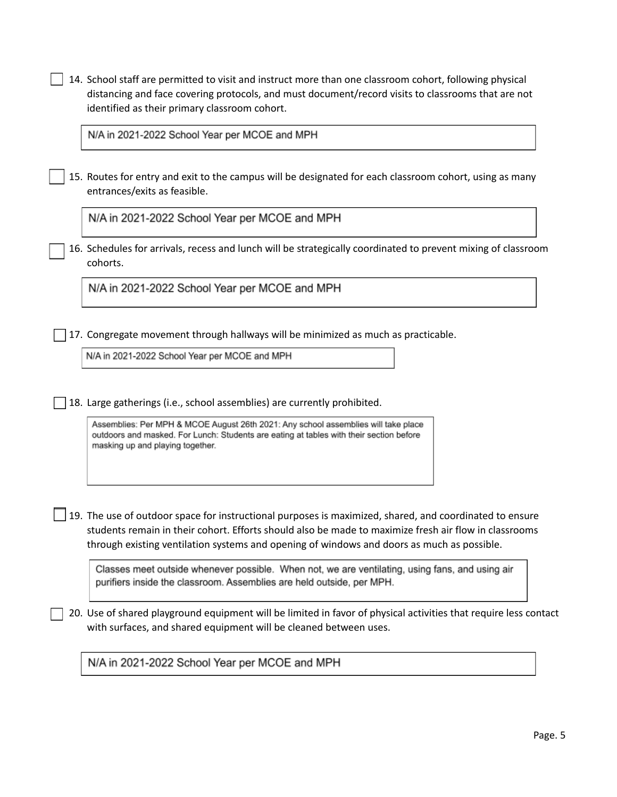$\Box$  14. School staff are permitted to visit and instruct more than one classroom cohort, following physical distancing and face covering protocols, and must document/record visits to classrooms that are not identified as their primary classroom cohort.

N/A in 2021-2022 School Year per MCOE and MPH

15. Routes for entry and exit to the campus will be designated for each classroom cohort, using as many entrances/exits as feasible.

N/A in 2021-2022 School Year per MCOE and MPH

16. Schedules for arrivals, recess and lunch will be strategically coordinated to prevent mixing of classroom cohorts.

N/A in 2021-2022 School Year per MCOE and MPH

 $\Box$  17. Congregate movement through hallways will be minimized as much as practicable.

N/A in 2021-2022 School Year per MCOE and MPH

18. Large gatherings (i.e., school assemblies) are currently prohibited.

Assemblies: Per MPH & MCOE August 26th 2021: Any school assemblies will take place outdoors and masked. For Lunch: Students are eating at tables with their section before masking up and playing together.

 $\Box$  19. The use of outdoor space for instructional purposes is maximized, shared, and coordinated to ensure students remain in their cohort. Efforts should also be made to maximize fresh air flow in classrooms through existing ventilation systems and opening of windows and doors as much as possible.

Classes meet outside whenever possible. When not, we are ventilating, using fans, and using air purifiers inside the classroom. Assemblies are held outside, per MPH.

20. Use of shared playground equipment will be limited in favor of physical activities that require less contact with surfaces, and shared equipment will be cleaned between uses.

N/A in 2021-2022 School Year per MCOE and MPH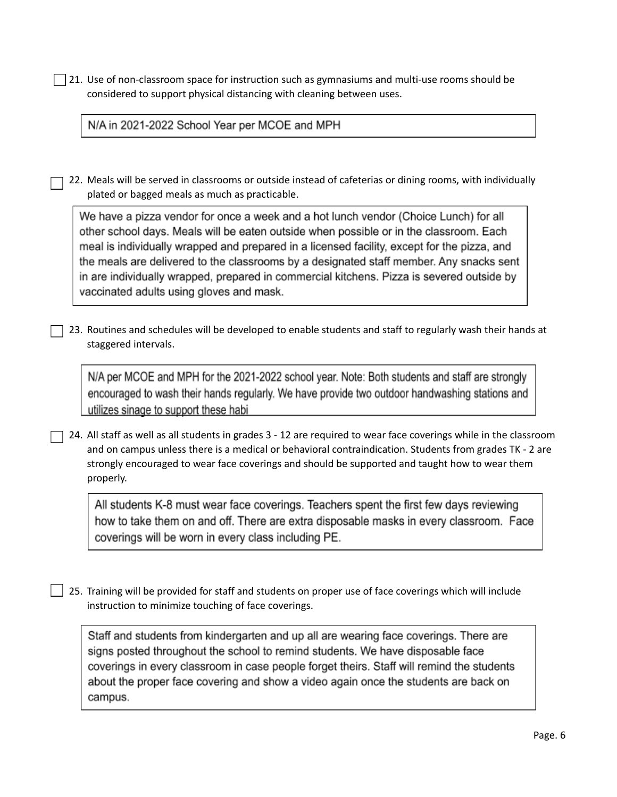$\Box$  21. Use of non-classroom space for instruction such as gymnasiums and multi-use rooms should be considered to support physical distancing with cleaning between uses.

N/A in 2021-2022 School Year per MCOE and MPH

22. Meals will be served in classrooms or outside instead of cafeterias or dining rooms, with individually plated or bagged meals as much as practicable.

We have a pizza vendor for once a week and a hot lunch vendor (Choice Lunch) for all other school days. Meals will be eaten outside when possible or in the classroom. Each meal is individually wrapped and prepared in a licensed facility, except for the pizza, and the meals are delivered to the classrooms by a designated staff member. Any snacks sent in are individually wrapped, prepared in commercial kitchens. Pizza is severed outside by vaccinated adults using gloves and mask.

23. Routines and schedules will be developed to enable students and staff to regularly wash their hands at staggered intervals.

N/A per MCOE and MPH for the 2021-2022 school year. Note: Both students and staff are strongly encouraged to wash their hands regularly. We have provide two outdoor handwashing stations and utilizes sinage to support these habi

24. All staff as well as all students in grades 3 - 12 are required to wear face coverings while in the classroom and on campus unless there is a medical or behavioral contraindication. Students from grades TK - 2 are strongly encouraged to wear face coverings and should be supported and taught how to wear them properly.

All students K-8 must wear face coverings. Teachers spent the first few days reviewing how to take them on and off. There are extra disposable masks in every classroom. Face coverings will be worn in every class including PE.

 $\perp$  25. Training will be provided for staff and students on proper use of face coverings which will include instruction to minimize touching of face coverings.

Staff and students from kindergarten and up all are wearing face coverings. There are signs posted throughout the school to remind students. We have disposable face coverings in every classroom in case people forget theirs. Staff will remind the students about the proper face covering and show a video again once the students are back on campus.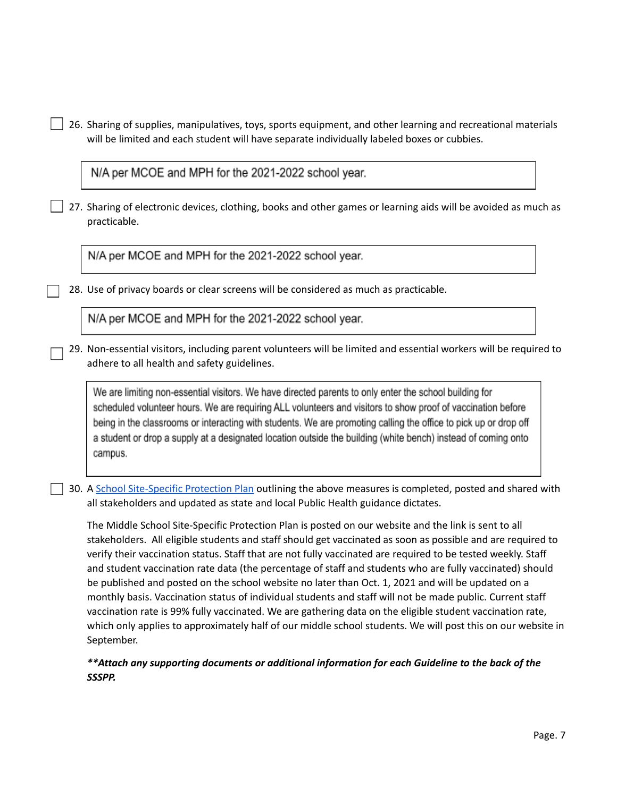| 26. Sharing of supplies, manipulatives, toys, sports equipment, and other learning and recreational materials<br>will be limited and each student will have separate individually labeled boxes or cubbies.                                                                                                                                                                                                                                                                                                                                                                                                                                                                                                                                                                    |
|--------------------------------------------------------------------------------------------------------------------------------------------------------------------------------------------------------------------------------------------------------------------------------------------------------------------------------------------------------------------------------------------------------------------------------------------------------------------------------------------------------------------------------------------------------------------------------------------------------------------------------------------------------------------------------------------------------------------------------------------------------------------------------|
| N/A per MCOE and MPH for the 2021-2022 school year.                                                                                                                                                                                                                                                                                                                                                                                                                                                                                                                                                                                                                                                                                                                            |
| 27. Sharing of electronic devices, clothing, books and other games or learning aids will be avoided as much as<br>practicable.                                                                                                                                                                                                                                                                                                                                                                                                                                                                                                                                                                                                                                                 |
| N/A per MCOE and MPH for the 2021-2022 school year.                                                                                                                                                                                                                                                                                                                                                                                                                                                                                                                                                                                                                                                                                                                            |
| 28. Use of privacy boards or clear screens will be considered as much as practicable.                                                                                                                                                                                                                                                                                                                                                                                                                                                                                                                                                                                                                                                                                          |
| N/A per MCOE and MPH for the 2021-2022 school year.                                                                                                                                                                                                                                                                                                                                                                                                                                                                                                                                                                                                                                                                                                                            |
| 29. Non-essential visitors, including parent volunteers will be limited and essential workers will be required to<br>adhere to all health and safety guidelines.                                                                                                                                                                                                                                                                                                                                                                                                                                                                                                                                                                                                               |
| We are limiting non-essential visitors. We have directed parents to only enter the school building for<br>scheduled volunteer hours. We are requiring ALL volunteers and visitors to show proof of vaccination before<br>being in the classrooms or interacting with students. We are promoting calling the office to pick up or drop off<br>a student or drop a supply at a designated location outside the building (white bench) instead of coming onto<br>campus.                                                                                                                                                                                                                                                                                                          |
| 30. A School Site-Specific Protection Plan outlining the above measures is completed, posted and shared with<br>all stakeholders and updated as state and local Public Health guidance dictates.                                                                                                                                                                                                                                                                                                                                                                                                                                                                                                                                                                               |
| The Middle School Site-Specific Protection Plan is posted on our website and the link is sent to all<br>stakeholders. All eligible students and staff should get vaccinated as soon as possible and are required to<br>verify their vaccination status. Staff that are not fully vaccinated are required to be tested weekly. Staff<br>and student vaccination rate data (the percentage of staff and students who are fully vaccinated) should<br>be published and posted on the school website no later than Oct. 1, 2021 and will be updated on a<br>monthly basis. Vaccination status of individual students and staff will not be made public. Current staff<br>vaccination rate is 99% fully vaccinated. We are gathering data on the eligible student vaccination rate, |

#### *\*\*Attach any supporting documents or additional information for each Guideline to the back of the SSSPP.*

September.

which only applies to approximately half of our middle school students. We will post this on our website in